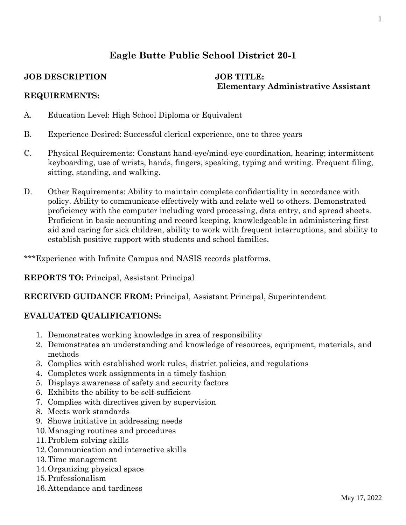# **Eagle Butte Public School District 20-1**

#### **JOB DESCRIPTION JOB TITLE:**

# **Elementary Administrative Assistant**

#### **REQUIREMENTS:**

- A. Education Level: High School Diploma or Equivalent
- B. Experience Desired: Successful clerical experience, one to three years
- C. Physical Requirements: Constant hand-eye/mind-eye coordination, hearing; intermittent keyboarding, use of wrists, hands, fingers, speaking, typing and writing. Frequent filing, sitting, standing, and walking.
- D. Other Requirements: Ability to maintain complete confidentiality in accordance with policy. Ability to communicate effectively with and relate well to others. Demonstrated proficiency with the computer including word processing, data entry, and spread sheets. Proficient in basic accounting and record keeping, knowledgeable in administering first aid and caring for sick children, ability to work with frequent interruptions, and ability to establish positive rapport with students and school families.

\*\*\*Experience with Infinite Campus and NASIS records platforms.

**REPORTS TO:** Principal, Assistant Principal

# **RECEIVED GUIDANCE FROM:** Principal, Assistant Principal, Superintendent

# **EVALUATED QUALIFICATIONS:**

- 1. Demonstrates working knowledge in area of responsibility
- 2. Demonstrates an understanding and knowledge of resources, equipment, materials, and methods
- 3. Complies with established work rules, district policies, and regulations
- 4. Completes work assignments in a timely fashion
- 5. Displays awareness of safety and security factors
- 6. Exhibits the ability to be self-sufficient
- 7. Complies with directives given by supervision
- 8. Meets work standards
- 9. Shows initiative in addressing needs
- 10.Managing routines and procedures
- 11.Problem solving skills
- 12.Communication and interactive skills
- 13.Time management
- 14.Organizing physical space
- 15.Professionalism
- 16.Attendance and tardiness